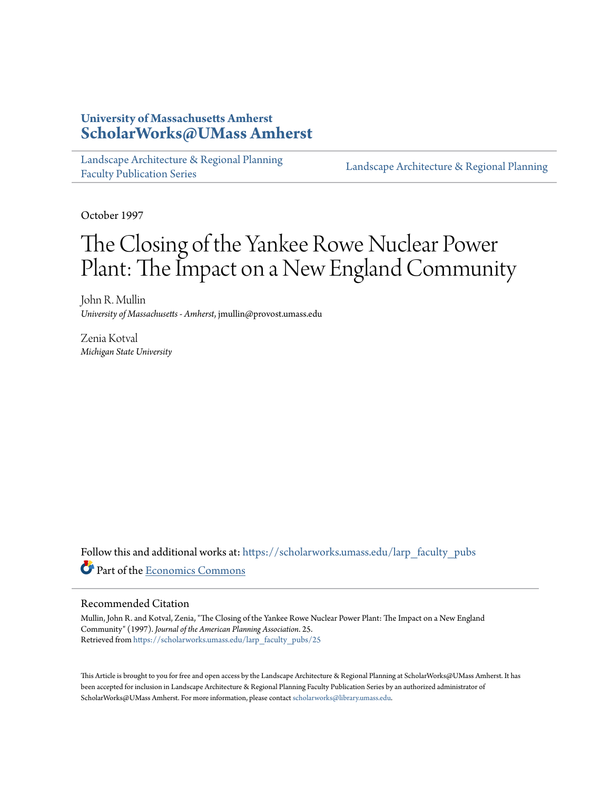# **University of Massachusetts Amherst [ScholarWorks@UMass Amherst](https://scholarworks.umass.edu?utm_source=scholarworks.umass.edu%2Flarp_faculty_pubs%2F25&utm_medium=PDF&utm_campaign=PDFCoverPages)**

[Landscape Architecture & Regional Planning](https://scholarworks.umass.edu/larp_faculty_pubs?utm_source=scholarworks.umass.edu%2Flarp_faculty_pubs%2F25&utm_medium=PDF&utm_campaign=PDFCoverPages) [Faculty Publication Series](https://scholarworks.umass.edu/larp_faculty_pubs?utm_source=scholarworks.umass.edu%2Flarp_faculty_pubs%2F25&utm_medium=PDF&utm_campaign=PDFCoverPages)

[Landscape Architecture & Regional Planning](https://scholarworks.umass.edu/larp?utm_source=scholarworks.umass.edu%2Flarp_faculty_pubs%2F25&utm_medium=PDF&utm_campaign=PDFCoverPages)

October 1997

# The Closing of the Yankee Rowe Nuclear Power Plant: The Impact on a New England Community

John R. Mullin *University of Massachusetts - Amherst*, jmullin@provost.umass.edu

Zenia Kotval *Michigan State University*

Follow this and additional works at: [https://scholarworks.umass.edu/larp\\_faculty\\_pubs](https://scholarworks.umass.edu/larp_faculty_pubs?utm_source=scholarworks.umass.edu%2Flarp_faculty_pubs%2F25&utm_medium=PDF&utm_campaign=PDFCoverPages) Part of the [Economics Commons](http://network.bepress.com/hgg/discipline/340?utm_source=scholarworks.umass.edu%2Flarp_faculty_pubs%2F25&utm_medium=PDF&utm_campaign=PDFCoverPages)

#### Recommended Citation

Mullin, John R. and Kotval, Zenia, "The Closing of the Yankee Rowe Nuclear Power Plant: The Impact on a New England Community" (1997). *Journal of the American Planning Association*. 25. Retrieved from [https://scholarworks.umass.edu/larp\\_faculty\\_pubs/25](https://scholarworks.umass.edu/larp_faculty_pubs/25?utm_source=scholarworks.umass.edu%2Flarp_faculty_pubs%2F25&utm_medium=PDF&utm_campaign=PDFCoverPages)

This Article is brought to you for free and open access by the Landscape Architecture & Regional Planning at ScholarWorks@UMass Amherst. It has been accepted for inclusion in Landscape Architecture & Regional Planning Faculty Publication Series by an authorized administrator of ScholarWorks@UMass Amherst. For more information, please contact [scholarworks@library.umass.edu.](mailto:scholarworks@library.umass.edu)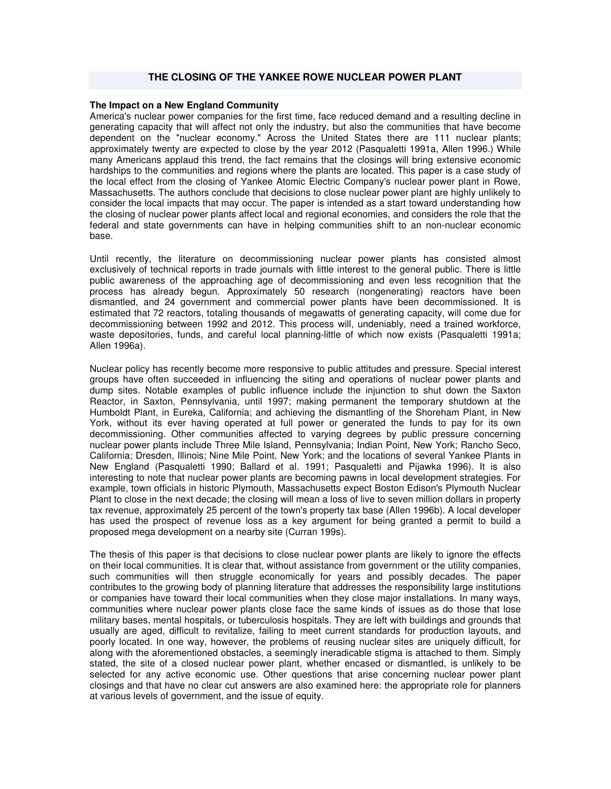#### **THE CLOSING OF THE YANKEE ROWE NUCLEAR POWER PLANT**

#### **The Impact on a New England Community**

America's nuclear power companies for the first time, face reduced demand and a resulting decline in generating capacity that will affect not only the industry, but also the communities that have become dependent on the "nuclear economy." Across the United States there are 111 nuclear plants; approximately twenty are expected to close by the year 2012 (Pasqualetti 1991a, Allen 1996.) While many Americans applaud this trend, the fact remains that the closings will bring extensive economic hardships to the communities and regions where the plants are located. This paper is a case study of the local effect from the closing of Yankee Atomic Electric Company's nuclear power plant in Rowe, Massachusetts. The authors conclude that decisions to close nuclear power plant are highly unlikely to consider the local impacts that may occur. The paper is intended as a start toward understanding how the closing of nuclear power plants affect local and regional economies, and considers the role that the federal and state governments can have in helping communities shift to an non-nuclear economic base.

Until recently, the literature on decommissioning nuclear power plants has consisted almost exclusively of technical reports in trade journals with little interest to the general public. There is little public awareness of the approaching age of decommissioning and even less recognition that the process has already begun. Approximately 50 research (nongenerating) reactors have been dismantled, and 24 government and commercial power plants have been decommissioned. It is estimated that 72 reactors, totaling thousands of megawatts of generating capacity, will come due for decommissioning between 1992 and 2012. This process will, undeniably, need a trained workforce, waste depositories, funds, and careful local planning-little of which now exists (Pasqualetti 1991a; Allen 1996a).

Nuclear policy has recently become more responsive to public attitudes and pressure. Special interest groups have often succeeded in influencing the siting and operations of nuclear power plants and dump sites. Notable examples of public influence include the injunction to shut down the Saxton Reactor, in Saxton, Pennsylvania, until 1997; making permanent the temporary shutdown at the Humboldt Plant, in Eureka, California; and achieving the dismantling of the Shoreham Plant, in New York, without its ever having operated at full power or generated the funds to pay for its own decommissioning. Other communities affected to varying degrees by public pressure concerning nuclear power plants include Three Mile Island, Pennsylvania; Indian Point, New York; Rancho Seco, California; Dresden, Illinois; Nine Mile Point, New York; and the locations of several Yankee Plants in New England (Pasqualetti 1990; Ballard et al. 1991; Pasqualetti and Pijawka 1996). It is also interesting to note that nuclear power plants are becoming pawns in local development strategies. For example, town officials in historic Plymouth, Massachusetts expect Boston Edison's Plymouth Nuclear Plant to close in the next decade; the closing will mean a loss of live to seven million dollars in property tax revenue, approximately 25 percent of the town's property tax base (Allen 1996b). A local developer has used the prospect of revenue loss as a key argument for being granted a permit to build a proposed mega development on a nearby site (Curran 199s).

The thesis of this paper is that decisions to close nuclear power plants are likely to ignore the effects on their local communities. It is clear that, without assistance from government or the utility companies, such communities will then struggle economically for years and possibly decades. The paper contributes to the growing body of planning literature that addresses the responsibility large institutions or companies have toward their local communities when they close major installations. In many ways, communities where nuclear power plants close face the same kinds of issues as do those that lose military bases, mental hospitals, or tuberculosis hospitals. They are left with buildings and grounds that usually are aged, difficult to revitalize, failing to meet current standards for production layouts, and poorly located. In one way, however, the problems of reusing nuclear sites are uniquely difficult, for along with the aforementioned obstacles, a seemingly ineradicable stigma is attached to them. Simply stated, the site of a closed nuclear power plant, whether encased or dismantled, is unlikely to be selected for any active economic use. Other questions that arise concerning nuclear power plant closings and that have no clear cut answers are also examined here: the appropriate role for planners at various levels of government, and the issue of equity.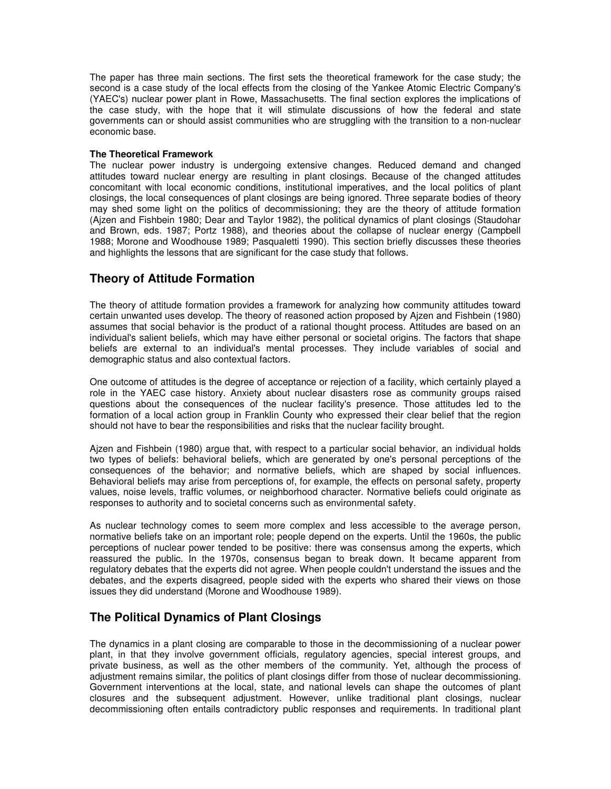The paper has three main sections. The first sets the theoretical framework for the case study; the second is a case study of the local effects from the closing of the Yankee Atomic Electric Company's (YAEC's) nuclear power plant in Rowe, Massachusetts. The final section explores the implications of the case study, with the hope that it will stimulate discussions of how the federal and state governments can or should assist communities who are struggling with the transition to a non-nuclear economic base.

#### **The Theoretical Framework**

The nuclear power industry is undergoing extensive changes. Reduced demand and changed attitudes toward nuclear energy are resulting in plant closings. Because of the changed attitudes concomitant with local economic conditions, institutional imperatives, and the local politics of plant closings, the local consequences of plant closings are being ignored. Three separate bodies of theory may shed some light on the politics of decommissioning; they are the theory of attitude formation (Ajzen and Fishbein 1980; Dear and Taylor 1982), the political dynamics of plant closings (Staudohar and Brown, eds. 1987; Portz 1988), and theories about the collapse of nuclear energy (Campbell 1988; Morone and Woodhouse 1989; Pasqualetti 1990). This section briefly discusses these theories and highlights the lessons that are significant for the case study that follows.

## **Theory of Attitude Formation**

The theory of attitude formation provides a framework for analyzing how community attitudes toward certain unwanted uses develop. The theory of reasoned action proposed by Ajzen and Fishbein (1980) assumes that social behavior is the product of a rational thought process. Attitudes are based on an individual's salient beliefs, which may have either personal or societal origins. The factors that shape beliefs are external to an individual's mental processes. They include variables of social and demographic status and also contextual factors.

One outcome of attitudes is the degree of acceptance or rejection of a facility, which certainly played a role in the YAEC case history. Anxiety about nuclear disasters rose as community groups raised questions about the consequences of the nuclear facility's presence. Those attitudes led to the formation of a local action group in Franklin County who expressed their clear belief that the region should not have to bear the responsibilities and risks that the nuclear facility brought.

Ajzen and Fishbein (1980) argue that, with respect to a particular social behavior, an individual holds two types of beliefs: behavioral beliefs, which are generated by one's personal perceptions of the consequences of the behavior; and normative beliefs, which are shaped by social influences. Behavioral beliefs may arise from perceptions of, for example, the effects on personal safety, property values, noise levels, traffic volumes, or neighborhood character. Normative beliefs could originate as responses to authority and to societal concerns such as environmental safety.

As nuclear technology comes to seem more complex and less accessible to the average person, normative beliefs take on an important role; people depend on the experts. Until the 1960s, the public perceptions of nuclear power tended to be positive: there was consensus among the experts, which reassured the public. In the 1970s, consensus began to break down. It became apparent from regulatory debates that the experts did not agree. When people couldn't understand the issues and the debates, and the experts disagreed, people sided with the experts who shared their views on those issues they did understand (Morone and Woodhouse 1989).

## **The Political Dynamics of Plant Closings**

The dynamics in a plant closing are comparable to those in the decommissioning of a nuclear power plant, in that they involve government officials, regulatory agencies, special interest groups, and private business, as well as the other members of the community. Yet, although the process of adjustment remains similar, the politics of plant closings differ from those of nuclear decommissioning. Government interventions at the local, state, and national levels can shape the outcomes of plant closures and the subsequent adjustment. However, unlike traditional plant closings, nuclear decommissioning often entails contradictory public responses and requirements. In traditional plant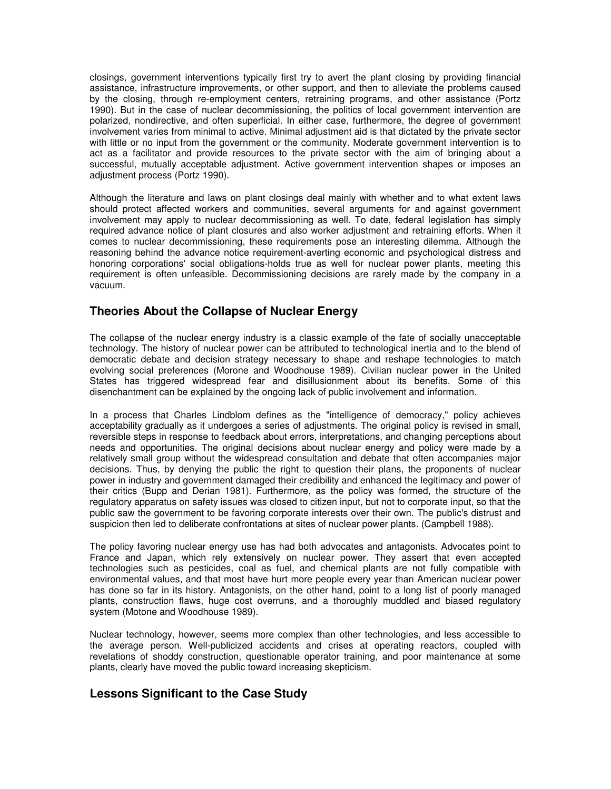closings, government interventions typically first try to avert the plant closing by providing financial assistance, infrastructure improvements, or other support, and then to alleviate the problems caused by the closing, through re-employment centers, retraining programs, and other assistance (Portz 1990). But in the case of nuclear decommissioning, the politics of local government intervention are polarized, nondirective, and often superficial. In either case, furthermore, the degree of government involvement varies from minimal to active. Minimal adjustment aid is that dictated by the private sector with little or no input from the government or the community. Moderate government intervention is to act as a facilitator and provide resources to the private sector with the aim of bringing about a successful, mutually acceptable adjustment. Active government intervention shapes or imposes an adjustment process (Portz 1990).

Although the literature and laws on plant closings deal mainly with whether and to what extent laws should protect affected workers and communities, several arguments for and against government involvement may apply to nuclear decommissioning as well. To date, federal legislation has simply required advance notice of plant closures and also worker adjustment and retraining efforts. When it comes to nuclear decommissioning, these requirements pose an interesting dilemma. Although the reasoning behind the advance notice requirement-averting economic and psychological distress and honoring corporations' social obligations-holds true as well for nuclear power plants, meeting this requirement is often unfeasible. Decommissioning decisions are rarely made by the company in a vacuum.

## **Theories About the Collapse of Nuclear Energy**

The collapse of the nuclear energy industry is a classic example of the fate of socially unacceptable technology. The history of nuclear power can be attributed to technological inertia and to the blend of democratic debate and decision strategy necessary to shape and reshape technologies to match evolving social preferences (Morone and Woodhouse 1989). Civilian nuclear power in the United States has triggered widespread fear and disillusionment about its benefits. Some of this disenchantment can be explained by the ongoing lack of public involvement and information.

In a process that Charles Lindblom defines as the "intelligence of democracy," policy achieves acceptability gradually as it undergoes a series of adjustments. The original policy is revised in small, reversible steps in response to feedback about errors, interpretations, and changing perceptions about needs and opportunities. The original decisions about nuclear energy and policy were made by a relatively small group without the widespread consultation and debate that often accompanies major decisions. Thus, by denying the public the right to question their plans, the proponents of nuclear power in industry and government damaged their credibility and enhanced the legitimacy and power of their critics (Bupp and Derian 1981). Furthermore, as the policy was formed, the structure of the regulatory apparatus on safety issues was closed to citizen input, but not to corporate input, so that the public saw the government to be favoring corporate interests over their own. The public's distrust and suspicion then led to deliberate confrontations at sites of nuclear power plants. (Campbell 1988).

The policy favoring nuclear energy use has had both advocates and antagonists. Advocates point to France and Japan, which rely extensively on nuclear power. They assert that even accepted technologies such as pesticides, coal as fuel, and chemical plants are not fully compatible with environmental values, and that most have hurt more people every year than American nuclear power has done so far in its history. Antagonists, on the other hand, point to a long list of poorly managed plants, construction flaws, huge cost overruns, and a thoroughly muddled and biased regulatory system (Motone and Woodhouse 1989).

Nuclear technology, however, seems more complex than other technologies, and less accessible to the average person. Well-publicized accidents and crises at operating reactors, coupled with revelations of shoddy construction, questionable operator training, and poor maintenance at some plants, clearly have moved the public toward increasing skepticism.

### **Lessons Significant to the Case Study**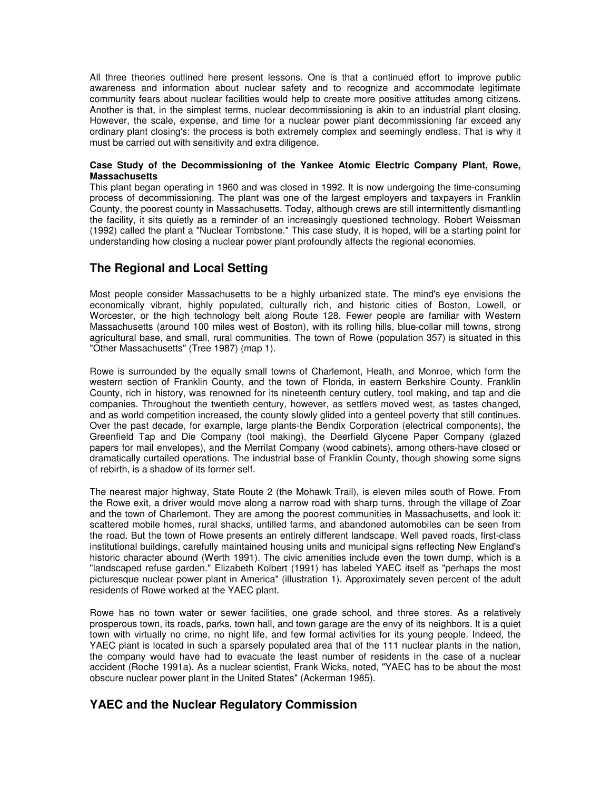All three theories outlined here present lessons. One is that a continued effort to improve public awareness and information about nuclear safety and to recognize and accommodate legitimate community fears about nuclear facilities would help to create more positive attitudes among citizens. Another is that, in the simplest terms, nuclear decommissioning is akin to an industrial plant closing. However, the scale, expense, and time for a nuclear power plant decommissioning far exceed any ordinary plant closing's: the process is both extremely complex and seemingly endless. That is why it must be carried out with sensitivity and extra diligence.

#### **Case Study of the Decommissioning of the Yankee Atomic Electric Company Plant, Rowe, Massachusetts**

This plant began operating in 1960 and was closed in 1992. It is now undergoing the time-consuming process of decommissioning. The plant was one of the largest employers and taxpayers in Franklin County, the poorest county in Massachusetts. Today, although crews are still intermittently dismantling the facility, it sits quietly as a reminder of an increasingly questioned technology. Robert Weissman (1992) called the plant a "Nuclear Tombstone." This case study, it is hoped, will be a starting point for understanding how closing a nuclear power plant profoundly affects the regional economies.

## **The Regional and Local Setting**

Most people consider Massachusetts to be a highly urbanized state. The mind's eye envisions the economically vibrant, highly populated, culturally rich, and historic cities of Boston, Lowell, or Worcester, or the high technology belt along Route 128. Fewer people are familiar with Western Massachusetts (around 100 miles west of Boston), with its rolling hills, blue-collar mill towns, strong agricultural base, and small, rural communities. The town of Rowe (population 357) is situated in this "Other Massachusetts" (Tree 1987) (map 1).

Rowe is surrounded by the equally small towns of Charlemont, Heath, and Monroe, which form the western section of Franklin County, and the town of Florida, in eastern Berkshire County. Franklin County, rich in history, was renowned for its nineteenth century cutlery, tool making, and tap and die companies. Throughout the twentieth century, however, as settlers moved west, as tastes changed, and as world competition increased, the county slowly glided into a genteel poverty that still continues. Over the past decade, for example, large plants-the Bendix Corporation (electrical components), the Greenfield Tap and Die Company (tool making), the Deerfield Glycene Paper Company (glazed papers for mail envelopes), and the Merrilat Company (wood cabinets), among others-have closed or dramatically curtailed operations. The industrial base of Franklin County, though showing some signs of rebirth, is a shadow of its former self.

The nearest major highway, State Route 2 (the Mohawk Trail), is eleven miles south of Rowe. From the Rowe exit, a driver would move along a narrow road with sharp turns, through the village of Zoar and the town of Charlemont. They are among the poorest communities in Massachusetts, and look it: scattered mobile homes, rural shacks, untilled farms, and abandoned automobiles can be seen from the road. But the town of Rowe presents an entirely different landscape. Well paved roads, first-class institutional buildings, carefully maintained housing units and municipal signs reflecting New England's historic character abound (Werth 1991). The civic amenities include even the town dump, which is a "landscaped refuse garden." Elizabeth Kolbert (1991) has labeled YAEC itself as "perhaps the most picturesque nuclear power plant in America" (illustration 1). Approximately seven percent of the adult residents of Rowe worked at the YAEC plant.

Rowe has no town water or sewer facilities, one grade school, and three stores. As a relatively prosperous town, its roads, parks, town hall, and town garage are the envy of its neighbors. It is a quiet town with virtually no crime, no night life, and few formal activities for its young people. Indeed, the YAEC plant is located in such a sparsely populated area that of the 111 nuclear plants in the nation, the company would have had to evacuate the least number of residents in the case of a nuclear accident (Roche 1991a). As a nuclear scientist, Frank Wicks, noted, "YAEC has to be about the most obscure nuclear power plant in the United States" (Ackerman 1985).

## **YAEC and the Nuclear Regulatory Commission**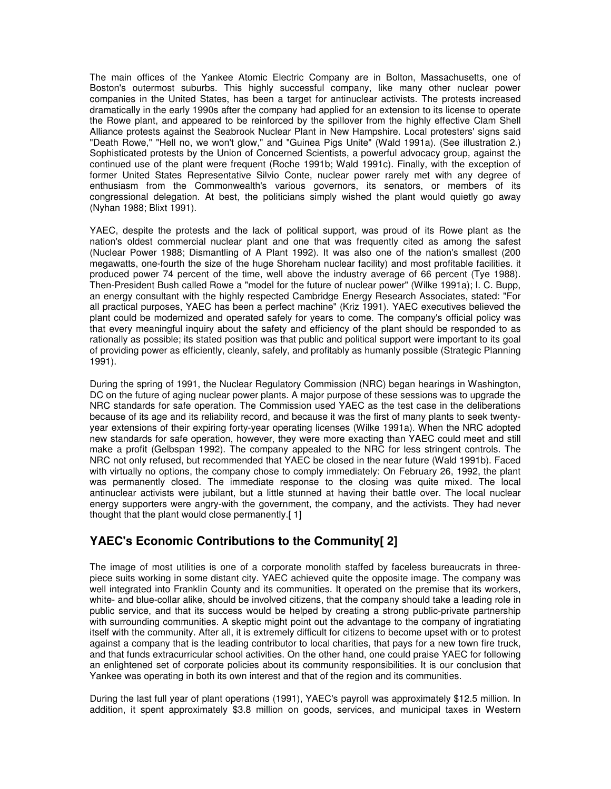The main offices of the Yankee Atomic Electric Company are in Bolton, Massachusetts, one of Boston's outermost suburbs. This highly successful company, like many other nuclear power companies in the United States, has been a target for antinuclear activists. The protests increased dramatically in the early 1990s after the company had applied for an extension to its license to operate the Rowe plant, and appeared to be reinforced by the spillover from the highly effective Clam Shell Alliance protests against the Seabrook Nuclear Plant in New Hampshire. Local protesters' signs said "Death Rowe," "Hell no, we won't glow," and "Guinea Pigs Unite" (Wald 1991a). (See illustration 2.) Sophisticated protests by the Union of Concerned Scientists, a powerful advocacy group, against the continued use of the plant were frequent (Roche 1991b; Wald 1991c). Finally, with the exception of former United States Representative Silvio Conte, nuclear power rarely met with any degree of enthusiasm from the Commonwealth's various governors, its senators, or members of its congressional delegation. At best, the politicians simply wished the plant would quietly go away (Nyhan 1988; Blixt 1991).

YAEC, despite the protests and the lack of political support, was proud of its Rowe plant as the nation's oldest commercial nuclear plant and one that was frequently cited as among the safest (Nuclear Power 1988; Dismantling of A Plant 1992). It was also one of the nation's smallest (200 megawatts, one-fourth the size of the huge Shoreham nuclear facility) and most profitable facilities. it produced power 74 percent of the time, well above the industry average of 66 percent (Tye 1988). Then-President Bush called Rowe a "model for the future of nuclear power" (Wilke 1991a); I. C. Bupp, an energy consultant with the highly respected Cambridge Energy Research Associates, stated: "For all practical purposes, YAEC has been a perfect machine" (Kriz 1991). YAEC executives believed the plant could be modernized and operated safely for years to come. The company's official policy was that every meaningful inquiry about the safety and efficiency of the plant should be responded to as rationally as possible; its stated position was that public and political support were important to its goal of providing power as efficiently, cleanly, safely, and profitably as humanly possible (Strategic Planning 1991).

During the spring of 1991, the Nuclear Regulatory Commission (NRC) began hearings in Washington, DC on the future of aging nuclear power plants. A major purpose of these sessions was to upgrade the NRC standards for safe operation. The Commission used YAEC as the test case in the deliberations because of its age and its reliability record, and because it was the first of many plants to seek twentyyear extensions of their expiring forty-year operating licenses (Wilke 1991a). When the NRC adopted new standards for safe operation, however, they were more exacting than YAEC could meet and still make a profit (Gelbspan 1992). The company appealed to the NRC for less stringent controls. The NRC not only refused, but recommended that YAEC be closed in the near future (Wald 1991b). Faced with virtually no options, the company chose to comply immediately: On February 26, 1992, the plant was permanently closed. The immediate response to the closing was quite mixed. The local antinuclear activists were jubilant, but a little stunned at having their battle over. The local nuclear energy supporters were angry-with the government, the company, and the activists. They had never thought that the plant would close permanently.[ 1]

## **YAEC's Economic Contributions to the Community[ 2]**

The image of most utilities is one of a corporate monolith staffed by faceless bureaucrats in threepiece suits working in some distant city. YAEC achieved quite the opposite image. The company was well integrated into Franklin County and its communities. It operated on the premise that its workers, white- and blue-collar alike, should be involved citizens, that the company should take a leading role in public service, and that its success would be helped by creating a strong public-private partnership with surrounding communities. A skeptic might point out the advantage to the company of ingratiating itself with the community. After all, it is extremely difficult for citizens to become upset with or to protest against a company that is the leading contributor to local charities, that pays for a new town fire truck, and that funds extracurricular school activities. On the other hand, one could praise YAEC for following an enlightened set of corporate policies about its community responsibilities. It is our conclusion that Yankee was operating in both its own interest and that of the region and its communities.

During the last full year of plant operations (1991), YAEC's payroll was approximately \$12.5 million. In addition, it spent approximately \$3.8 million on goods, services, and municipal taxes in Western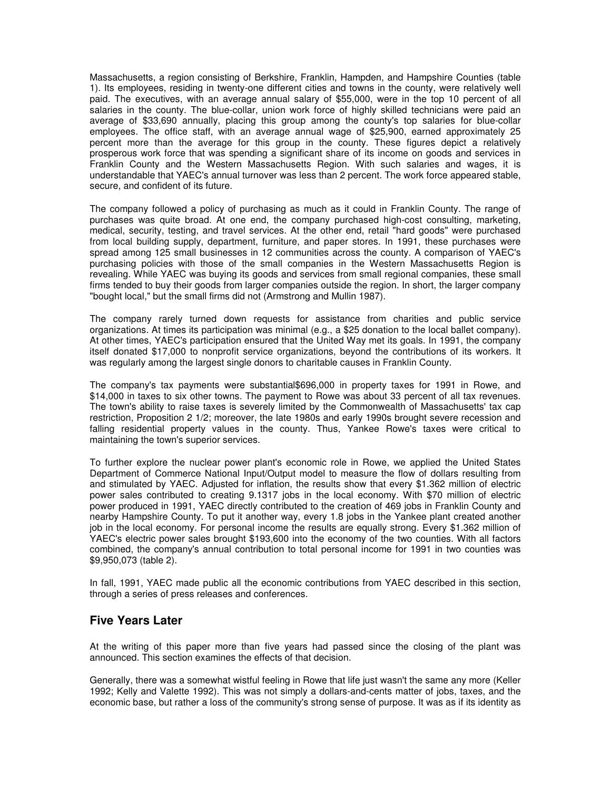Massachusetts, a region consisting of Berkshire, Franklin, Hampden, and Hampshire Counties (table 1). Its employees, residing in twenty-one different cities and towns in the county, were relatively well paid. The executives, with an average annual salary of \$55,000, were in the top 10 percent of all salaries in the county. The blue-collar, union work force of highly skilled technicians were paid an average of \$33,690 annually, placing this group among the county's top salaries for blue-collar employees. The office staff, with an average annual wage of \$25,900, earned approximately 25 percent more than the average for this group in the county. These figures depict a relatively prosperous work force that was spending a significant share of its income on goods and services in Franklin County and the Western Massachusetts Region. With such salaries and wages, it is understandable that YAEC's annual turnover was less than 2 percent. The work force appeared stable, secure, and confident of its future.

The company followed a policy of purchasing as much as it could in Franklin County. The range of purchases was quite broad. At one end, the company purchased high-cost consulting, marketing, medical, security, testing, and travel services. At the other end, retail "hard goods" were purchased from local building supply, department, furniture, and paper stores. In 1991, these purchases were spread among 125 small businesses in 12 communities across the county. A comparison of YAEC's purchasing policies with those of the small companies in the Western Massachusetts Region is revealing. While YAEC was buying its goods and services from small regional companies, these small firms tended to buy their goods from larger companies outside the region. In short, the larger company "bought local," but the small firms did not (Armstrong and Mullin 1987).

The company rarely turned down requests for assistance from charities and public service organizations. At times its participation was minimal (e.g., a \$25 donation to the local ballet company). At other times, YAEC's participation ensured that the United Way met its goals. In 1991, the company itself donated \$17,000 to nonprofit service organizations, beyond the contributions of its workers. It was regularly among the largest single donors to charitable causes in Franklin County.

The company's tax payments were substantial\$696,000 in property taxes for 1991 in Rowe, and \$14,000 in taxes to six other towns. The payment to Rowe was about 33 percent of all tax revenues. The town's ability to raise taxes is severely limited by the Commonwealth of Massachusetts' tax cap restriction, Proposition 2 1/2; moreover, the late 1980s and early 1990s brought severe recession and falling residential property values in the county. Thus, Yankee Rowe's taxes were critical to maintaining the town's superior services.

To further explore the nuclear power plant's economic role in Rowe, we applied the United States Department of Commerce National Input/Output model to measure the flow of dollars resulting from and stimulated by YAEC. Adjusted for inflation, the results show that every \$1.362 million of electric power sales contributed to creating 9.1317 jobs in the local economy. With \$70 million of electric power produced in 1991, YAEC directly contributed to the creation of 469 jobs in Franklin County and nearby Hampshire County. To put it another way, every 1.8 jobs in the Yankee plant created another job in the local economy. For personal income the results are equally strong. Every \$1.362 million of YAEC's electric power sales brought \$193,600 into the economy of the two counties. With all factors combined, the company's annual contribution to total personal income for 1991 in two counties was \$9,950,073 (table 2).

In fall, 1991, YAEC made public all the economic contributions from YAEC described in this section, through a series of press releases and conferences.

## **Five Years Later**

At the writing of this paper more than five years had passed since the closing of the plant was announced. This section examines the effects of that decision.

Generally, there was a somewhat wistful feeling in Rowe that life just wasn't the same any more (Keller 1992; Kelly and Valette 1992). This was not simply a dollars-and-cents matter of jobs, taxes, and the economic base, but rather a loss of the community's strong sense of purpose. It was as if its identity as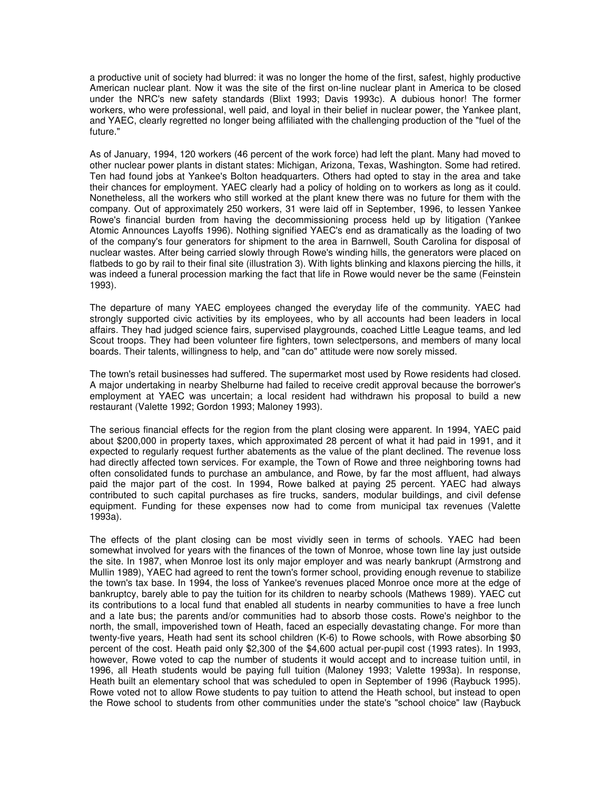a productive unit of society had blurred: it was no longer the home of the first, safest, highly productive American nuclear plant. Now it was the site of the first on-line nuclear plant in America to be closed under the NRC's new safety standards (Blixt 1993; Davis 1993c). A dubious honor! The former workers, who were professional, well paid, and loyal in their belief in nuclear power, the Yankee plant, and YAEC, clearly regretted no longer being affiliated with the challenging production of the "fuel of the future."

As of January, 1994, 120 workers (46 percent of the work force) had left the plant. Many had moved to other nuclear power plants in distant states: Michigan, Arizona, Texas, Washington. Some had retired. Ten had found jobs at Yankee's Bolton headquarters. Others had opted to stay in the area and take their chances for employment. YAEC clearly had a policy of holding on to workers as long as it could. Nonetheless, all the workers who still worked at the plant knew there was no future for them with the company. Out of approximately 250 workers, 31 were laid off in September, 1996, to lessen Yankee Rowe's financial burden from having the decommissioning process held up by litigation (Yankee Atomic Announces Layoffs 1996). Nothing signified YAEC's end as dramatically as the loading of two of the company's four generators for shipment to the area in Barnwell, South Carolina for disposal of nuclear wastes. After being carried slowly through Rowe's winding hills, the generators were placed on flatbeds to go by rail to their final site (illustration 3). With lights blinking and klaxons piercing the hills, it was indeed a funeral procession marking the fact that life in Rowe would never be the same (Feinstein 1993).

The departure of many YAEC employees changed the everyday life of the community. YAEC had strongly supported civic activities by its employees, who by all accounts had been leaders in local affairs. They had judged science fairs, supervised playgrounds, coached Little League teams, and led Scout troops. They had been volunteer fire fighters, town selectpersons, and members of many local boards. Their talents, willingness to help, and "can do" attitude were now sorely missed.

The town's retail businesses had suffered. The supermarket most used by Rowe residents had closed. A major undertaking in nearby Shelburne had failed to receive credit approval because the borrower's employment at YAEC was uncertain; a local resident had withdrawn his proposal to build a new restaurant (Valette 1992; Gordon 1993; Maloney 1993).

The serious financial effects for the region from the plant closing were apparent. In 1994, YAEC paid about \$200,000 in property taxes, which approximated 28 percent of what it had paid in 1991, and it expected to regularly request further abatements as the value of the plant declined. The revenue loss had directly affected town services. For example, the Town of Rowe and three neighboring towns had often consolidated funds to purchase an ambulance, and Rowe, by far the most affluent, had always paid the major part of the cost. In 1994, Rowe balked at paying 25 percent. YAEC had always contributed to such capital purchases as fire trucks, sanders, modular buildings, and civil defense equipment. Funding for these expenses now had to come from municipal tax revenues (Valette 1993a).

The effects of the plant closing can be most vividly seen in terms of schools. YAEC had been somewhat involved for years with the finances of the town of Monroe, whose town line lay just outside the site. In 1987, when Monroe lost its only major employer and was nearly bankrupt (Armstrong and Mullin 1989), YAEC had agreed to rent the town's former school, providing enough revenue to stabilize the town's tax base. In 1994, the loss of Yankee's revenues placed Monroe once more at the edge of bankruptcy, barely able to pay the tuition for its children to nearby schools (Mathews 1989). YAEC cut its contributions to a local fund that enabled all students in nearby communities to have a free lunch and a late bus; the parents and/or communities had to absorb those costs. Rowe's neighbor to the north, the small, impoverished town of Heath, faced an especially devastating change. For more than twenty-five years, Heath had sent its school children (K-6) to Rowe schools, with Rowe absorbing \$0 percent of the cost. Heath paid only \$2,300 of the \$4,600 actual per-pupil cost (1993 rates). In 1993, however, Rowe voted to cap the number of students it would accept and to increase tuition until, in 1996, all Heath students would be paying full tuition (Maloney 1993; Valette 1993a). In response, Heath built an elementary school that was scheduled to open in September of 1996 (Raybuck 1995). Rowe voted not to allow Rowe students to pay tuition to attend the Heath school, but instead to open the Rowe school to students from other communities under the state's "school choice" law (Raybuck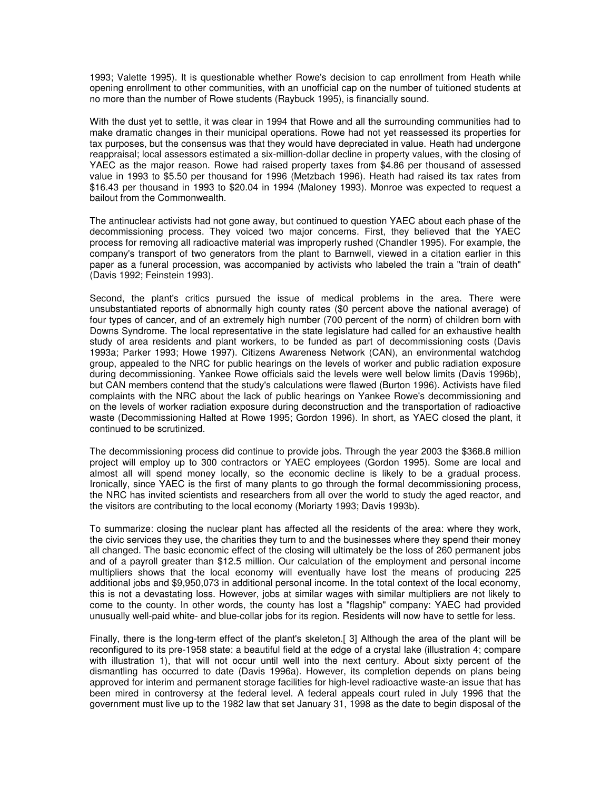1993; Valette 1995). It is questionable whether Rowe's decision to cap enrollment from Heath while opening enrollment to other communities, with an unofficial cap on the number of tuitioned students at no more than the number of Rowe students (Raybuck 1995), is financially sound.

With the dust yet to settle, it was clear in 1994 that Rowe and all the surrounding communities had to make dramatic changes in their municipal operations. Rowe had not yet reassessed its properties for tax purposes, but the consensus was that they would have depreciated in value. Heath had undergone reappraisal; local assessors estimated a six-million-dollar decline in property values, with the closing of YAEC as the major reason. Rowe had raised property taxes from \$4.86 per thousand of assessed value in 1993 to \$5.50 per thousand for 1996 (Metzbach 1996). Heath had raised its tax rates from \$16.43 per thousand in 1993 to \$20.04 in 1994 (Maloney 1993). Monroe was expected to request a bailout from the Commonwealth.

The antinuclear activists had not gone away, but continued to question YAEC about each phase of the decommissioning process. They voiced two major concerns. First, they believed that the YAEC process for removing all radioactive material was improperly rushed (Chandler 1995). For example, the company's transport of two generators from the plant to Barnwell, viewed in a citation earlier in this paper as a funeral procession, was accompanied by activists who labeled the train a "train of death" (Davis 1992; Feinstein 1993).

Second, the plant's critics pursued the issue of medical problems in the area. There were unsubstantiated reports of abnormally high county rates (\$0 percent above the national average) of four types of cancer, and of an extremely high number (700 percent of the norm) of children born with Downs Syndrome. The local representative in the state legislature had called for an exhaustive health study of area residents and plant workers, to be funded as part of decommissioning costs (Davis 1993a; Parker 1993; Howe 1997). Citizens Awareness Network (CAN), an environmental watchdog group, appealed to the NRC for public hearings on the levels of worker and public radiation exposure during decommissioning. Yankee Rowe officials said the levels were well below limits (Davis 1996b), but CAN members contend that the study's calculations were flawed (Burton 1996). Activists have filed complaints with the NRC about the lack of public hearings on Yankee Rowe's decommissioning and on the levels of worker radiation exposure during deconstruction and the transportation of radioactive waste (Decommissioning Halted at Rowe 1995; Gordon 1996). In short, as YAEC closed the plant, it continued to be scrutinized.

The decommissioning process did continue to provide jobs. Through the year 2003 the \$368.8 million project will employ up to 300 contractors or YAEC employees (Gordon 1995). Some are local and almost all will spend money locally, so the economic decline is likely to be a gradual process. Ironically, since YAEC is the first of many plants to go through the formal decommissioning process, the NRC has invited scientists and researchers from all over the world to study the aged reactor, and the visitors are contributing to the local economy (Moriarty 1993; Davis 1993b).

To summarize: closing the nuclear plant has affected all the residents of the area: where they work, the civic services they use, the charities they turn to and the businesses where they spend their money all changed. The basic economic effect of the closing will ultimately be the loss of 260 permanent jobs and of a payroll greater than \$12.5 million. Our calculation of the employment and personal income multipliers shows that the local economy will eventually have lost the means of producing 225 additional jobs and \$9,950,073 in additional personal income. In the total context of the local economy, this is not a devastating loss. However, jobs at similar wages with similar multipliers are not likely to come to the county. In other words, the county has lost a "flagship" company: YAEC had provided unusually well-paid white- and blue-collar jobs for its region. Residents will now have to settle for less.

Finally, there is the long-term effect of the plant's skeleton.[ 3] Although the area of the plant will be reconfigured to its pre-1958 state: a beautiful field at the edge of a crystal lake (illustration 4; compare with illustration 1), that will not occur until well into the next century. About sixty percent of the dismantling has occurred to date (Davis 1996a). However, its completion depends on plans being approved for interim and permanent storage facilities for high-level radioactive waste-an issue that has been mired in controversy at the federal level. A federal appeals court ruled in July 1996 that the government must live up to the 1982 law that set January 31, 1998 as the date to begin disposal of the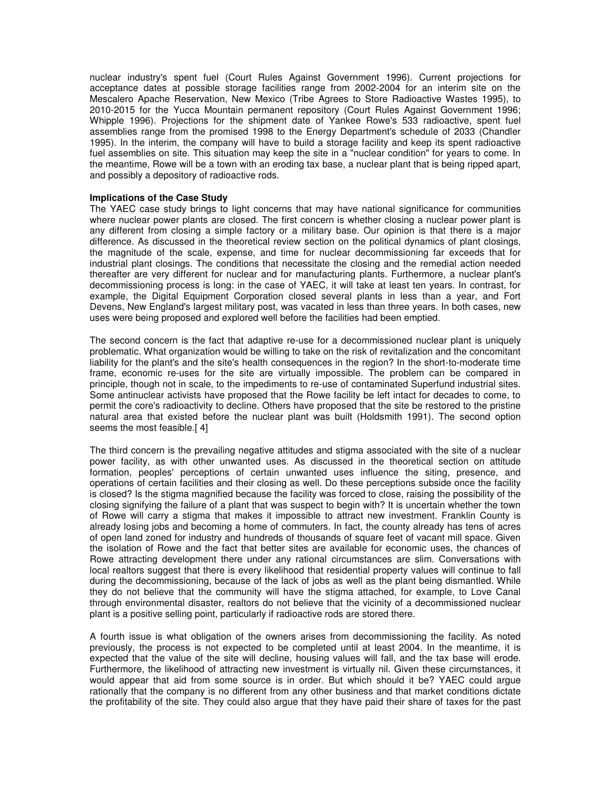nuclear industry's spent fuel (Court Rules Against Government 1996). Current projections for acceptance dates at possible storage facilities range from 2002-2004 for an interim site on the Mescalero Apache Reservation, New Mexico (Tribe Agrees to Store Radioactive Wastes 1995), to 2010-2015 for the Yucca Mountain permanent repository (Court Rules Against Government 1996; Whipple 1996). Projections for the shipment date of Yankee Rowe's 533 radioactive, spent fuel assemblies range from the promised 1998 to the Energy Department's schedule of 2033 (Chandler 1995). In the interim, the company will have to build a storage facility and keep its spent radioactive fuel assemblies on site. This situation may keep the site in a "nuclear condition" for years to come. In the meantime, Rowe will be a town with an eroding tax base, a nuclear plant that is being ripped apart, and possibly a depository of radioactive rods.

#### **Implications of the Case Study**

The YAEC case study brings to light concerns that may have national significance for communities where nuclear power plants are closed. The first concern is whether closing a nuclear power plant is any different from closing a simple factory or a military base. Our opinion is that there is a major difference. As discussed in the theoretical review section on the political dynamics of plant closings, the magnitude of the scale, expense, and time for nuclear decommissioning far exceeds that for industrial plant closings. The conditions that necessitate the closing and the remedial action needed thereafter are very different for nuclear and for manufacturing plants. Furthermore, a nuclear plant's decommissioning process is long: in the case of YAEC, it will take at least ten years. In contrast, for example, the Digital Equipment Corporation closed several plants in less than a year, and Fort Devens, New England's largest military post, was vacated in less than three years. In both cases, new uses were being proposed and explored well before the facilities had been emptied.

The second concern is the fact that adaptive re-use for a decommissioned nuclear plant is uniquely problematic. What organization would be willing to take on the risk of revitalization and the concomitant liability for the plant's and the site's health consequences in the region? In the short-to-moderate time frame, economic re-uses for the site are virtually impossible. The problem can be compared in principle, though not in scale, to the impediments to re-use of contaminated Superfund industrial sites. Some antinuclear activists have proposed that the Rowe facility be left intact for decades to come, to permit the core's radioactivity to decline. Others have proposed that the site be restored to the pristine natural area that existed before the nuclear plant was built (Holdsmith 1991). The second option seems the most feasible.[ 4]

The third concern is the prevailing negative attitudes and stigma associated with the site of a nuclear power facility, as with other unwanted uses. As discussed in the theoretical section on attitude formation, peoples' perceptions of certain unwanted uses influence the siting, presence, and operations of certain facilities and their closing as well. Do these perceptions subside once the facility is closed? Is the stigma magnified because the facility was forced to close, raising the possibility of the closing signifying the failure of a plant that was suspect to begin with? It is uncertain whether the town of Rowe will carry a stigma that makes it impossible to attract new investment. Franklin County is already losing jobs and becoming a home of commuters. In fact, the county already has tens of acres of open land zoned for industry and hundreds of thousands of square feet of vacant mill space. Given the isolation of Rowe and the fact that better sites are available for economic uses, the chances of Rowe attracting development there under any rational circumstances are slim. Conversations with local realtors suggest that there is every likelihood that residential property values will continue to fall during the decommissioning, because of the lack of jobs as well as the plant being dismantled. While they do not believe that the community will have the stigma attached, for example, to Love Canal through environmental disaster, realtors do not believe that the vicinity of a decommissioned nuclear plant is a positive selling point, particularly if radioactive rods are stored there.

A fourth issue is what obligation of the owners arises from decommissioning the facility. As noted previously, the process is not expected to be completed until at least 2004. In the meantime, it is expected that the value of the site will decline, housing values will fall, and the tax base will erode. Furthermore, the likelihood of attracting new investment is virtually nil. Given these circumstances, it would appear that aid from some source is in order. But which should it be? YAEC could argue rationally that the company is no different from any other business and that market conditions dictate the profitability of the site. They could also argue that they have paid their share of taxes for the past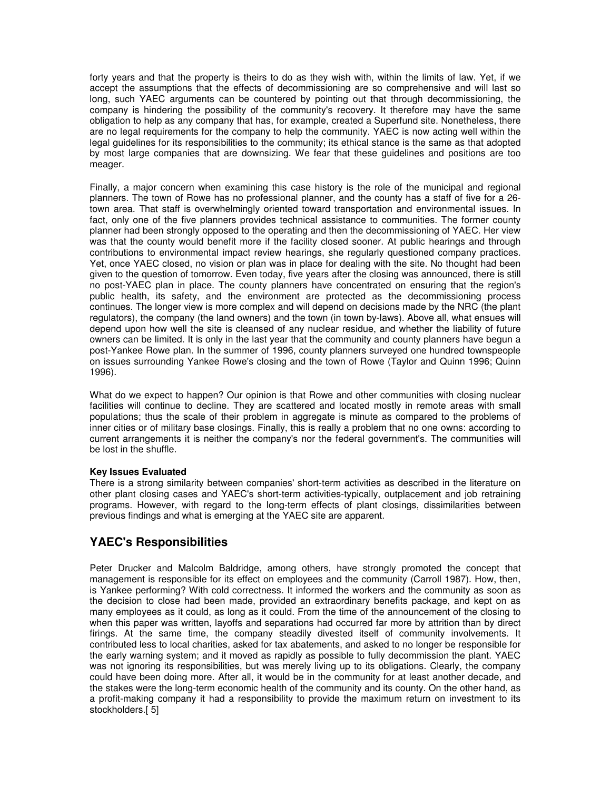forty years and that the property is theirs to do as they wish with, within the limits of law. Yet, if we accept the assumptions that the effects of decommissioning are so comprehensive and will last so long, such YAEC arguments can be countered by pointing out that through decommissioning, the company is hindering the possibility of the community's recovery. It therefore may have the same obligation to help as any company that has, for example, created a Superfund site. Nonetheless, there are no legal requirements for the company to help the community. YAEC is now acting well within the legal guidelines for its responsibilities to the community; its ethical stance is the same as that adopted by most large companies that are downsizing. We fear that these guidelines and positions are too meager.

Finally, a major concern when examining this case history is the role of the municipal and regional planners. The town of Rowe has no professional planner, and the county has a staff of five for a 26 town area. That staff is overwhelmingly oriented toward transportation and environmental issues. In fact, only one of the five planners provides technical assistance to communities. The former county planner had been strongly opposed to the operating and then the decommissioning of YAEC. Her view was that the county would benefit more if the facility closed sooner. At public hearings and through contributions to environmental impact review hearings, she regularly questioned company practices. Yet, once YAEC closed, no vision or plan was in place for dealing with the site. No thought had been given to the question of tomorrow. Even today, five years after the closing was announced, there is still no post-YAEC plan in place. The county planners have concentrated on ensuring that the region's public health, its safety, and the environment are protected as the decommissioning process continues. The longer view is more complex and will depend on decisions made by the NRC (the plant regulators), the company (the land owners) and the town (in town by-laws). Above all, what ensues will depend upon how well the site is cleansed of any nuclear residue, and whether the liability of future owners can be limited. It is only in the last year that the community and county planners have begun a post-Yankee Rowe plan. In the summer of 1996, county planners surveyed one hundred townspeople on issues surrounding Yankee Rowe's closing and the town of Rowe (Taylor and Quinn 1996; Quinn 1996).

What do we expect to happen? Our opinion is that Rowe and other communities with closing nuclear facilities will continue to decline. They are scattered and located mostly in remote areas with small populations; thus the scale of their problem in aggregate is minute as compared to the problems of inner cities or of military base closings. Finally, this is really a problem that no one owns: according to current arrangements it is neither the company's nor the federal government's. The communities will be lost in the shuffle.

#### **Key Issues Evaluated**

There is a strong similarity between companies' short-term activities as described in the literature on other plant closing cases and YAEC's short-term activities-typically, outplacement and job retraining programs. However, with regard to the long-term effects of plant closings, dissimilarities between previous findings and what is emerging at the YAEC site are apparent.

## **YAEC's Responsibilities**

Peter Drucker and Malcolm Baldridge, among others, have strongly promoted the concept that management is responsible for its effect on employees and the community (Carroll 1987). How, then, is Yankee performing? With cold correctness. It informed the workers and the community as soon as the decision to close had been made, provided an extraordinary benefits package, and kept on as many employees as it could, as long as it could. From the time of the announcement of the closing to when this paper was written, layoffs and separations had occurred far more by attrition than by direct firings. At the same time, the company steadily divested itself of community involvements. It contributed less to local charities, asked for tax abatements, and asked to no longer be responsible for the early warning system; and it moved as rapidly as possible to fully decommission the plant. YAEC was not ignoring its responsibilities, but was merely living up to its obligations. Clearly, the company could have been doing more. After all, it would be in the community for at least another decade, and the stakes were the long-term economic health of the community and its county. On the other hand, as a profit-making company it had a responsibility to provide the maximum return on investment to its stockholders.[ 5]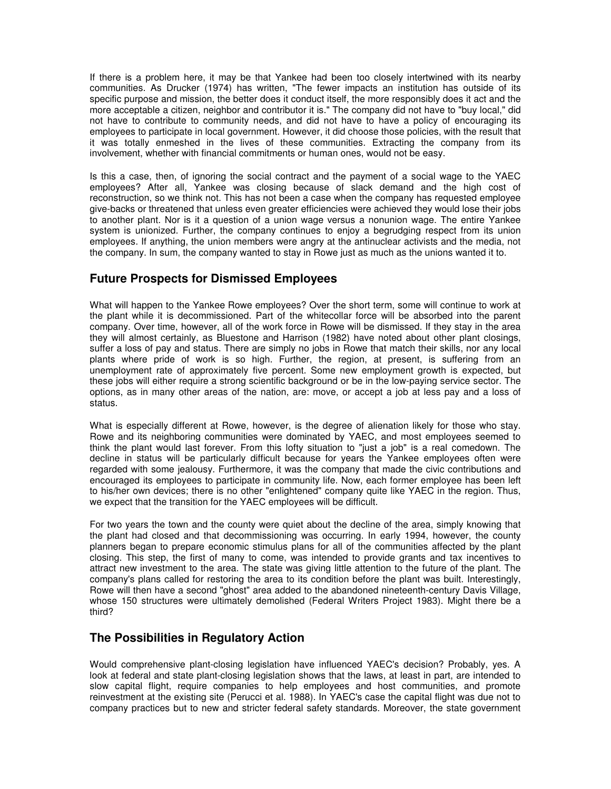If there is a problem here, it may be that Yankee had been too closely intertwined with its nearby communities. As Drucker (1974) has written, "The fewer impacts an institution has outside of its specific purpose and mission, the better does it conduct itself, the more responsibly does it act and the more acceptable a citizen, neighbor and contributor it is." The company did not have to "buy local," did not have to contribute to community needs, and did not have to have a policy of encouraging its employees to participate in local government. However, it did choose those policies, with the result that it was totally enmeshed in the lives of these communities. Extracting the company from its involvement, whether with financial commitments or human ones, would not be easy.

Is this a case, then, of ignoring the social contract and the payment of a social wage to the YAEC employees? After all, Yankee was closing because of slack demand and the high cost of reconstruction, so we think not. This has not been a case when the company has requested employee give-backs or threatened that unless even greater efficiencies were achieved they would lose their jobs to another plant. Nor is it a question of a union wage versus a nonunion wage. The entire Yankee system is unionized. Further, the company continues to enjoy a begrudging respect from its union employees. If anything, the union members were angry at the antinuclear activists and the media, not the company. In sum, the company wanted to stay in Rowe just as much as the unions wanted it to.

## **Future Prospects for Dismissed Employees**

What will happen to the Yankee Rowe employees? Over the short term, some will continue to work at the plant while it is decommissioned. Part of the whitecollar force will be absorbed into the parent company. Over time, however, all of the work force in Rowe will be dismissed. If they stay in the area they will almost certainly, as Bluestone and Harrison (1982) have noted about other plant closings, suffer a loss of pay and status. There are simply no jobs in Rowe that match their skills, nor any local plants where pride of work is so high. Further, the region, at present, is suffering from an unemployment rate of approximately five percent. Some new employment growth is expected, but these jobs will either require a strong scientific background or be in the low-paying service sector. The options, as in many other areas of the nation, are: move, or accept a job at less pay and a loss of status.

What is especially different at Rowe, however, is the degree of alienation likely for those who stay. Rowe and its neighboring communities were dominated by YAEC, and most employees seemed to think the plant would last forever. From this lofty situation to "just a job" is a real comedown. The decline in status will be particularly difficult because for years the Yankee employees often were regarded with some jealousy. Furthermore, it was the company that made the civic contributions and encouraged its employees to participate in community life. Now, each former employee has been left to his/her own devices; there is no other "enlightened" company quite like YAEC in the region. Thus, we expect that the transition for the YAEC employees will be difficult.

For two years the town and the county were quiet about the decline of the area, simply knowing that the plant had closed and that decommissioning was occurring. In early 1994, however, the county planners began to prepare economic stimulus plans for all of the communities affected by the plant closing. This step, the first of many to come, was intended to provide grants and tax incentives to attract new investment to the area. The state was giving little attention to the future of the plant. The company's plans called for restoring the area to its condition before the plant was built. Interestingly, Rowe will then have a second "ghost" area added to the abandoned nineteenth-century Davis Village, whose 150 structures were ultimately demolished (Federal Writers Project 1983). Might there be a third?

## **The Possibilities in Regulatory Action**

Would comprehensive plant-closing legislation have influenced YAEC's decision? Probably, yes. A look at federal and state plant-closing legislation shows that the laws, at least in part, are intended to slow capital flight, require companies to help employees and host communities, and promote reinvestment at the existing site (Perucci et al. 1988). In YAEC's case the capital flight was due not to company practices but to new and stricter federal safety standards. Moreover, the state government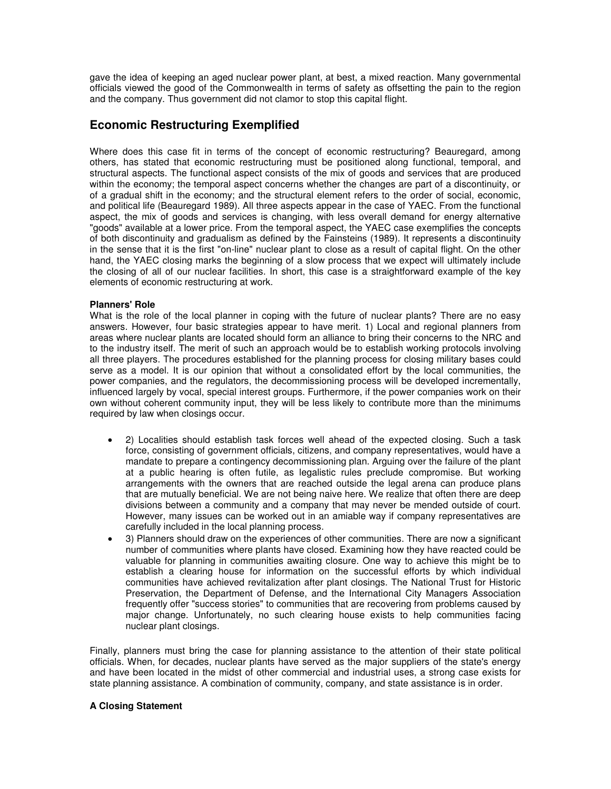gave the idea of keeping an aged nuclear power plant, at best, a mixed reaction. Many governmental officials viewed the good of the Commonwealth in terms of safety as offsetting the pain to the region and the company. Thus government did not clamor to stop this capital flight.

## **Economic Restructuring Exemplified**

Where does this case fit in terms of the concept of economic restructuring? Beauregard, among others, has stated that economic restructuring must be positioned along functional, temporal, and structural aspects. The functional aspect consists of the mix of goods and services that are produced within the economy; the temporal aspect concerns whether the changes are part of a discontinuity, or of a gradual shift in the economy; and the structural element refers to the order of social, economic, and political life (Beauregard 1989). All three aspects appear in the case of YAEC. From the functional aspect, the mix of goods and services is changing, with less overall demand for energy alternative "goods" available at a lower price. From the temporal aspect, the YAEC case exemplifies the concepts of both discontinuity and gradualism as defined by the Fainsteins (1989). It represents a discontinuity in the sense that it is the first "on-line" nuclear plant to close as a result of capital flight. On the other hand, the YAEC closing marks the beginning of a slow process that we expect will ultimately include the closing of all of our nuclear facilities. In short, this case is a straightforward example of the key elements of economic restructuring at work.

#### **Planners' Role**

What is the role of the local planner in coping with the future of nuclear plants? There are no easy answers. However, four basic strategies appear to have merit. 1) Local and regional planners from areas where nuclear plants are located should form an alliance to bring their concerns to the NRC and to the industry itself. The merit of such an approach would be to establish working protocols involving all three players. The procedures established for the planning process for closing military bases could serve as a model. It is our opinion that without a consolidated effort by the local communities, the power companies, and the regulators, the decommissioning process will be developed incrementally, influenced largely by vocal, special interest groups. Furthermore, if the power companies work on their own without coherent community input, they will be less likely to contribute more than the minimums required by law when closings occur.

- 2) Localities should establish task forces well ahead of the expected closing. Such a task force, consisting of government officials, citizens, and company representatives, would have a mandate to prepare a contingency decommissioning plan. Arguing over the failure of the plant at a public hearing is often futile, as legalistic rules preclude compromise. But working arrangements with the owners that are reached outside the legal arena can produce plans that are mutually beneficial. We are not being naive here. We realize that often there are deep divisions between a community and a company that may never be mended outside of court. However, many issues can be worked out in an amiable way if company representatives are carefully included in the local planning process.
- 3) Planners should draw on the experiences of other communities. There are now a significant number of communities where plants have closed. Examining how they have reacted could be valuable for planning in communities awaiting closure. One way to achieve this might be to establish a clearing house for information on the successful efforts by which individual communities have achieved revitalization after plant closings. The National Trust for Historic Preservation, the Department of Defense, and the International City Managers Association frequently offer "success stories" to communities that are recovering from problems caused by major change. Unfortunately, no such clearing house exists to help communities facing nuclear plant closings.

Finally, planners must bring the case for planning assistance to the attention of their state political officials. When, for decades, nuclear plants have served as the major suppliers of the state's energy and have been located in the midst of other commercial and industrial uses, a strong case exists for state planning assistance. A combination of community, company, and state assistance is in order.

#### **A Closing Statement**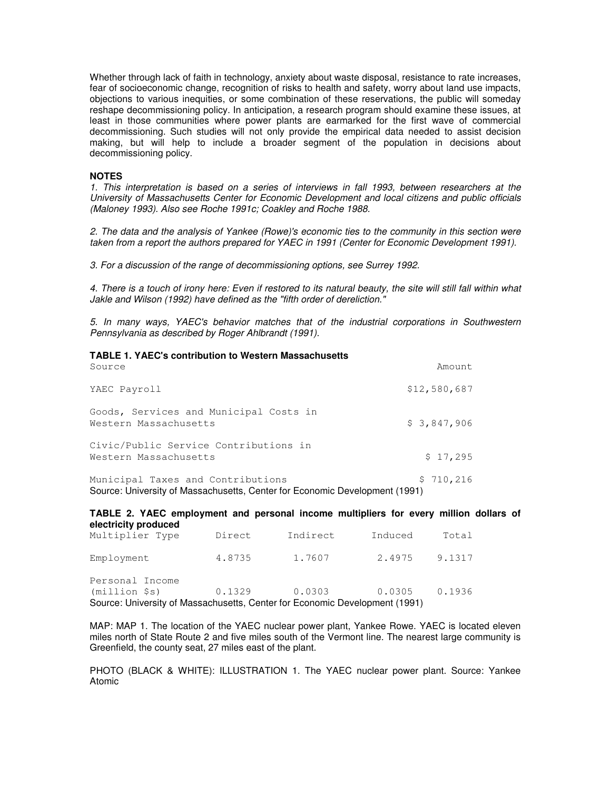Whether through lack of faith in technology, anxiety about waste disposal, resistance to rate increases, fear of socioeconomic change, recognition of risks to health and safety, worry about land use impacts, objections to various inequities, or some combination of these reservations, the public will someday reshape decommissioning policy. In anticipation, a research program should examine these issues, at least in those communities where power plants are earmarked for the first wave of commercial decommissioning. Such studies will not only provide the empirical data needed to assist decision making, but will help to include a broader segment of the population in decisions about decommissioning policy.

#### **NOTES**

1. This interpretation is based on a series of interviews in fall 1993, between researchers at the University of Massachusetts Center for Economic Development and local citizens and public officials (Maloney 1993). Also see Roche 1991c; Coakley and Roche 1988.

2. The data and the analysis of Yankee (Rowe)'s economic ties to the community in this section were taken from a report the authors prepared for YAEC in 1991 (Center for Economic Development 1991).

3. For a discussion of the range of decommissioning options, see Surrey 1992.

4. There is a touch of irony here: Even if restored to its natural beauty, the site will still fall within what Jakle and Wilson (1992) have defined as the "fifth order of dereliction."

5. In many ways, YAEC's behavior matches that of the industrial corporations in Southwestern Pennsylvania as described by Roger Ahlbrandt (1991).

#### **TABLE 1. YAEC's contribution to Western Massachusetts**

| Source                                                                      | Amount       |  |  |
|-----------------------------------------------------------------------------|--------------|--|--|
| YAEC Payroll                                                                | \$12,580,687 |  |  |
| Goods, Services and Municipal Costs in<br>Western Massachusetts             | \$3,847,906  |  |  |
| Civic/Public Service Contributions in<br>Western Massachusetts              | \$17,295     |  |  |
| Municipal Taxes and Contributions                                           | \$710,216    |  |  |
| Source: University of Massachusetts, Center for Economic Development (1991) |              |  |  |

**TABLE 2. YAEC employment and personal income multipliers for every million dollars of electricity produced** 

| --------------------<br>Multiplier Type                                                                         | Direct | Indirect | Induced | Total  |
|-----------------------------------------------------------------------------------------------------------------|--------|----------|---------|--------|
| Employment                                                                                                      | 4.8735 | 1.7607   | 2.4975  | 9.1317 |
| Personal Income<br>(million \$s)<br>Source: University of Massachusetts, Center for Economic Development (1991) | 0.1329 | 0.0303   | 0.0305  | 0.1936 |

MAP: MAP 1. The location of the YAEC nuclear power plant, Yankee Rowe. YAEC is located eleven miles north of State Route 2 and five miles south of the Vermont line. The nearest large community is Greenfield, the county seat, 27 miles east of the plant.

PHOTO (BLACK & WHITE): ILLUSTRATION 1. The YAEC nuclear power plant. Source: Yankee Atomic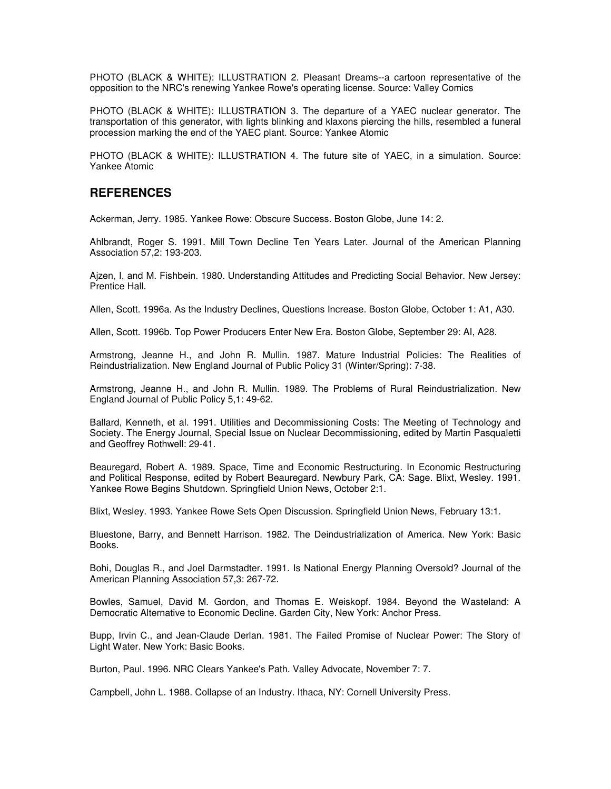PHOTO (BLACK & WHITE): ILLUSTRATION 2. Pleasant Dreams--a cartoon representative of the opposition to the NRC's renewing Yankee Rowe's operating license. Source: Valley Comics

PHOTO (BLACK & WHITE): ILLUSTRATION 3. The departure of a YAEC nuclear generator. The transportation of this generator, with lights blinking and klaxons piercing the hills, resembled a funeral procession marking the end of the YAEC plant. Source: Yankee Atomic

PHOTO (BLACK & WHITE): ILLUSTRATION 4. The future site of YAEC, in a simulation. Source: Yankee Atomic

#### **REFERENCES**

Ackerman, Jerry. 1985. Yankee Rowe: Obscure Success. Boston Globe, June 14: 2.

Ahlbrandt, Roger S. 1991. Mill Town Decline Ten Years Later. Journal of the American Planning Association 57,2: 193-203.

Ajzen, I, and M. Fishbein. 1980. Understanding Attitudes and Predicting Social Behavior. New Jersey: Prentice Hall.

Allen, Scott. 1996a. As the Industry Declines, Questions Increase. Boston Globe, October 1: A1, A30.

Allen, Scott. 1996b. Top Power Producers Enter New Era. Boston Globe, September 29: AI, A28.

Armstrong, Jeanne H., and John R. Mullin. 1987. Mature Industrial Policies: The Realities of Reindustrialization. New England Journal of Public Policy 31 (Winter/Spring): 7-38.

Armstrong, Jeanne H., and John R. Mullin. 1989. The Problems of Rural Reindustrialization. New England Journal of Public Policy 5,1: 49-62.

Ballard, Kenneth, et al. 1991. Utilities and Decommissioning Costs: The Meeting of Technology and Society. The Energy Journal, Special Issue on Nuclear Decommissioning, edited by Martin Pasqualetti and Geoffrey Rothwell: 29-41.

Beauregard, Robert A. 1989. Space, Time and Economic Restructuring. In Economic Restructuring and Political Response, edited by Robert Beauregard. Newbury Park, CA: Sage. Blixt, Wesley. 1991. Yankee Rowe Begins Shutdown. Springfield Union News, October 2:1.

Blixt, Wesley. 1993. Yankee Rowe Sets Open Discussion. Springfield Union News, February 13:1.

Bluestone, Barry, and Bennett Harrison. 1982. The Deindustrialization of America. New York: Basic Books.

Bohi, Douglas R., and Joel Darmstadter. 1991. Is National Energy Planning Oversold? Journal of the American Planning Association 57,3: 267-72.

Bowles, Samuel, David M. Gordon, and Thomas E. Weiskopf. 1984. Beyond the Wasteland: A Democratic Alternative to Economic Decline. Garden City, New York: Anchor Press.

Bupp, Irvin C., and Jean-Claude Derlan. 1981. The Failed Promise of Nuclear Power: The Story of Light Water. New York: Basic Books.

Burton, Paul. 1996. NRC Clears Yankee's Path. Valley Advocate, November 7: 7.

Campbell, John L. 1988. Collapse of an Industry. Ithaca, NY: Cornell University Press.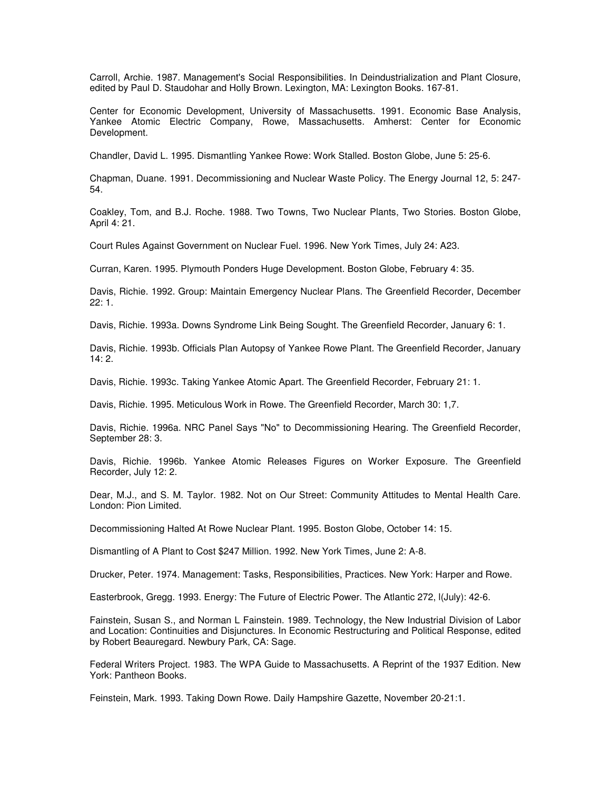Carroll, Archie. 1987. Management's Social Responsibilities. In Deindustrialization and Plant Closure, edited by Paul D. Staudohar and Holly Brown. Lexington, MA: Lexington Books. 167-81.

Center for Economic Development, University of Massachusetts. 1991. Economic Base Analysis, Yankee Atomic Electric Company, Rowe, Massachusetts. Amherst: Center for Economic Development.

Chandler, David L. 1995. Dismantling Yankee Rowe: Work Stalled. Boston Globe, June 5: 25-6.

Chapman, Duane. 1991. Decommissioning and Nuclear Waste Policy. The Energy Journal 12, 5: 247- 54.

Coakley, Tom, and B.J. Roche. 1988. Two Towns, Two Nuclear Plants, Two Stories. Boston Globe, April 4: 21.

Court Rules Against Government on Nuclear Fuel. 1996. New York Times, July 24: A23.

Curran, Karen. 1995. Plymouth Ponders Huge Development. Boston Globe, February 4: 35.

Davis, Richie. 1992. Group: Maintain Emergency Nuclear Plans. The Greenfield Recorder, December 22: 1.

Davis, Richie. 1993a. Downs Syndrome Link Being Sought. The Greenfield Recorder, January 6: 1.

Davis, Richie. 1993b. Officials Plan Autopsy of Yankee Rowe Plant. The Greenfield Recorder, January 14: 2.

Davis, Richie. 1993c. Taking Yankee Atomic Apart. The Greenfield Recorder, February 21: 1.

Davis, Richie. 1995. Meticulous Work in Rowe. The Greenfield Recorder, March 30: 1,7.

Davis, Richie. 1996a. NRC Panel Says "No" to Decommissioning Hearing. The Greenfield Recorder, September 28: 3.

Davis, Richie. 1996b. Yankee Atomic Releases Figures on Worker Exposure. The Greenfield Recorder, July 12: 2.

Dear, M.J., and S. M. Taylor. 1982. Not on Our Street: Community Attitudes to Mental Health Care. London: Pion Limited.

Decommissioning Halted At Rowe Nuclear Plant. 1995. Boston Globe, October 14: 15.

Dismantling of A Plant to Cost \$247 Million. 1992. New York Times, June 2: A-8.

Drucker, Peter. 1974. Management: Tasks, Responsibilities, Practices. New York: Harper and Rowe.

Easterbrook, Gregg. 1993. Energy: The Future of Electric Power. The Atlantic 272, l(July): 42-6.

Fainstein, Susan S., and Norman L Fainstein. 1989. Technology, the New Industrial Division of Labor and Location: Continuities and Disjunctures. In Economic Restructuring and Political Response, edited by Robert Beauregard. Newbury Park, CA: Sage.

Federal Writers Project. 1983. The WPA Guide to Massachusetts. A Reprint of the 1937 Edition. New York: Pantheon Books.

Feinstein, Mark. 1993. Taking Down Rowe. Daily Hampshire Gazette, November 20-21:1.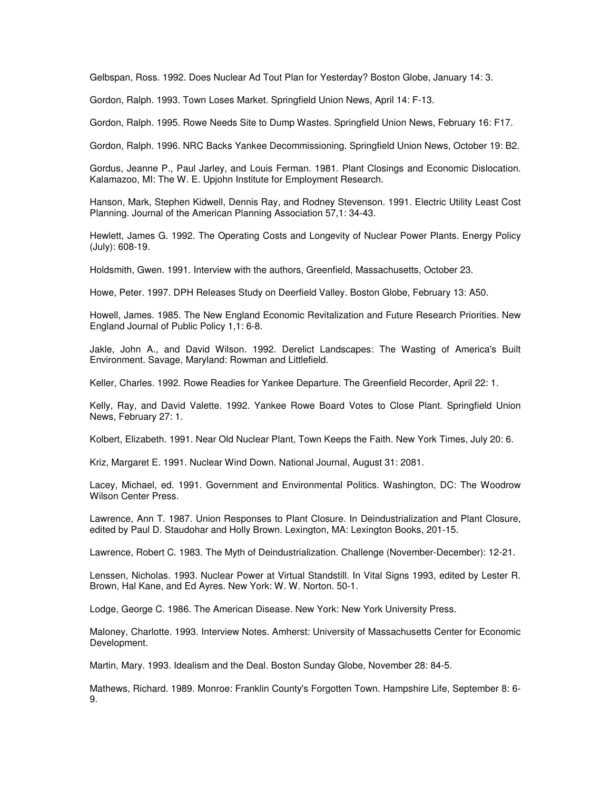Gelbspan, Ross. 1992. Does Nuclear Ad Tout Plan for Yesterday? Boston Globe, January 14: 3.

Gordon, Ralph. 1993. Town Loses Market. Springfield Union News, April 14: F-13.

Gordon, Ralph. 1995. Rowe Needs Site to Dump Wastes. Springfield Union News, February 16: F17.

Gordon, Ralph. 1996. NRC Backs Yankee Decommissioning. Springfield Union News, October 19: B2.

Gordus, Jeanne P., Paul Jarley, and Louis Ferman. 1981. Plant Closings and Economic Dislocation. Kalamazoo, MI: The W. E. Upjohn Institute for Employment Research.

Hanson, Mark, Stephen Kidwell, Dennis Ray, and Rodney Stevenson. 1991. Electric Utility Least Cost Planning. Journal of the American Planning Association 57,1: 34-43.

Hewlett, James G. 1992. The Operating Costs and Longevity of Nuclear Power Plants. Energy Policy (July): 608-19.

Holdsmith, Gwen. 1991. Interview with the authors, Greenfield, Massachusetts, October 23.

Howe, Peter. 1997. DPH Releases Study on Deerfield Valley. Boston Globe, February 13: A50.

Howell, James. 1985. The New England Economic Revitalization and Future Research Priorities. New England Journal of Public Policy 1,1: 6-8.

Jakle, John A., and David Wilson. 1992. Derelict Landscapes: The Wasting of America's Built Environment. Savage, Maryland: Rowman and Littlefield.

Keller, Charles. 1992. Rowe Readies for Yankee Departure. The Greenfield Recorder, April 22: 1.

Kelly, Ray, and David Valette. 1992. Yankee Rowe Board Votes to Close Plant. Springfield Union News, February 27: 1.

Kolbert, Elizabeth. 1991. Near Old Nuclear Plant, Town Keeps the Faith. New York Times, July 20: 6.

Kriz, Margaret E. 1991. Nuclear Wind Down. National Journal, August 31: 2081.

Lacey, Michael, ed. 1991. Government and Environmental Politics. Washington, DC: The Woodrow Wilson Center Press.

Lawrence, Ann T. 1987. Union Responses to Plant Closure. In Deindustrialization and Plant Closure, edited by Paul D. Staudohar and Holly Brown. Lexington, MA: Lexington Books, 201-15.

Lawrence, Robert C. 1983. The Myth of Deindustrialization. Challenge (November-December): 12-21.

Lenssen, Nicholas. 1993. Nuclear Power at Virtual Standstill. In Vital Signs 1993, edited by Lester R. Brown, Hal Kane, and Ed Ayres. New York: W. W. Norton. 50-1.

Lodge, George C. 1986. The American Disease. New York: New York University Press.

Maloney, Charlotte. 1993. Interview Notes. Amherst: University of Massachusetts Center for Economic Development.

Martin, Mary. 1993. Idealism and the Deal. Boston Sunday Globe, November 28: 84-5.

Mathews, Richard. 1989. Monroe: Franklin County's Forgotten Town. Hampshire Life, September 8: 6- 9.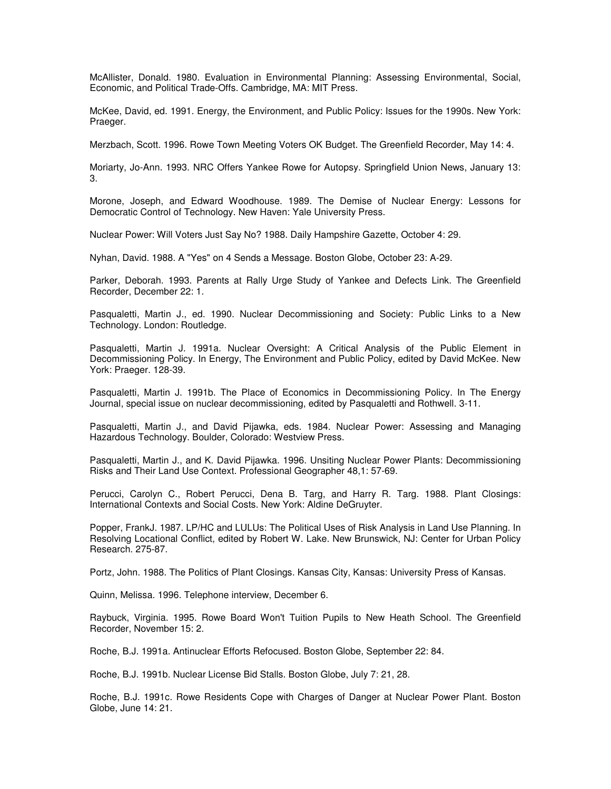McAllister, Donald. 1980. Evaluation in Environmental Planning: Assessing Environmental, Social, Economic, and Political Trade-Offs. Cambridge, MA: MIT Press.

McKee, David, ed. 1991. Energy, the Environment, and Public Policy: Issues for the 1990s. New York: Praeger.

Merzbach, Scott. 1996. Rowe Town Meeting Voters OK Budget. The Greenfield Recorder, May 14: 4.

Moriarty, Jo-Ann. 1993. NRC Offers Yankee Rowe for Autopsy. Springfield Union News, January 13: 3.

Morone, Joseph, and Edward Woodhouse. 1989. The Demise of Nuclear Energy: Lessons for Democratic Control of Technology. New Haven: Yale University Press.

Nuclear Power: Will Voters Just Say No? 1988. Daily Hampshire Gazette, October 4: 29.

Nyhan, David. 1988. A "Yes" on 4 Sends a Message. Boston Globe, October 23: A-29.

Parker, Deborah. 1993. Parents at Rally Urge Study of Yankee and Defects Link. The Greenfield Recorder, December 22: 1.

Pasqualetti, Martin J., ed. 1990. Nuclear Decommissioning and Society: Public Links to a New Technology. London: Routledge.

Pasqualetti, Martin J. 1991a. Nuclear Oversight: A Critical Analysis of the Public Element in Decommissioning Policy. In Energy, The Environment and Public Policy, edited by David McKee. New York: Praeger. 128-39.

Pasqualetti, Martin J. 1991b. The Place of Economics in Decommissioning Policy. In The Energy Journal, special issue on nuclear decommissioning, edited by Pasqualetti and Rothwell. 3-11.

Pasqualetti, Martin J., and David Pijawka, eds. 1984. Nuclear Power: Assessing and Managing Hazardous Technology. Boulder, Colorado: Westview Press.

Pasqualetti, Martin J., and K. David Pijawka. 1996. Unsiting Nuclear Power Plants: Decommissioning Risks and Their Land Use Context. Professional Geographer 48,1: 57-69.

Perucci, Carolyn C., Robert Perucci, Dena B. Targ, and Harry R. Targ. 1988. Plant Closings: International Contexts and Social Costs. New York: Aldine DeGruyter.

Popper, FrankJ. 1987. LP/HC and LULUs: The Political Uses of Risk Analysis in Land Use Planning. In Resolving Locational Conflict, edited by Robert W. Lake. New Brunswick, NJ: Center for Urban Policy Research. 275-87.

Portz, John. 1988. The Politics of Plant Closings. Kansas City, Kansas: University Press of Kansas.

Quinn, Melissa. 1996. Telephone interview, December 6.

Raybuck, Virginia. 1995. Rowe Board Won't Tuition Pupils to New Heath School. The Greenfield Recorder, November 15: 2.

Roche, B.J. 1991a. Antinuclear Efforts Refocused. Boston Globe, September 22: 84.

Roche, B.J. 1991b. Nuclear License Bid Stalls. Boston Globe, July 7: 21, 28.

Roche, B.J. 1991c. Rowe Residents Cope with Charges of Danger at Nuclear Power Plant. Boston Globe, June 14: 21.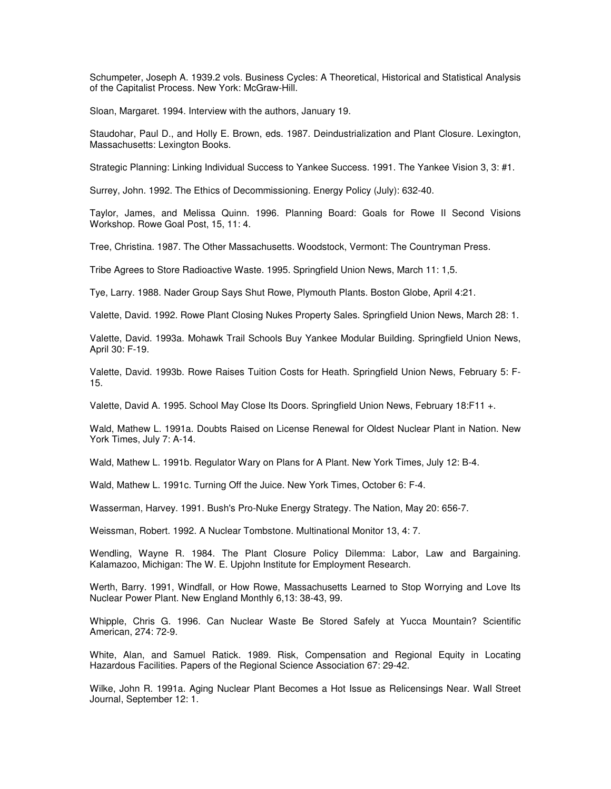Schumpeter, Joseph A. 1939.2 vols. Business Cycles: A Theoretical, Historical and Statistical Analysis of the Capitalist Process. New York: McGraw-Hill.

Sloan, Margaret. 1994. Interview with the authors, January 19.

Staudohar, Paul D., and Holly E. Brown, eds. 1987. Deindustrialization and Plant Closure. Lexington, Massachusetts: Lexington Books.

Strategic Planning: Linking Individual Success to Yankee Success. 1991. The Yankee Vision 3, 3: #1.

Surrey, John. 1992. The Ethics of Decommissioning. Energy Policy (July): 632-40.

Taylor, James, and Melissa Quinn. 1996. Planning Board: Goals for Rowe II Second Visions Workshop. Rowe Goal Post, 15, 11: 4.

Tree, Christina. 1987. The Other Massachusetts. Woodstock, Vermont: The Countryman Press.

Tribe Agrees to Store Radioactive Waste. 1995. Springfield Union News, March 11: 1,5.

Tye, Larry. 1988. Nader Group Says Shut Rowe, Plymouth Plants. Boston Globe, April 4:21.

Valette, David. 1992. Rowe Plant Closing Nukes Property Sales. Springfield Union News, March 28: 1.

Valette, David. 1993a. Mohawk Trail Schools Buy Yankee Modular Building. Springfield Union News, April 30: F-19.

Valette, David. 1993b. Rowe Raises Tuition Costs for Heath. Springfield Union News, February 5: F-15.

Valette, David A. 1995. School May Close Its Doors. Springfield Union News, February 18:F11 +.

Wald, Mathew L. 1991a. Doubts Raised on License Renewal for Oldest Nuclear Plant in Nation. New York Times, July 7: A-14.

Wald, Mathew L. 1991b. Regulator Wary on Plans for A Plant. New York Times, July 12: B-4.

Wald, Mathew L. 1991c. Turning Off the Juice. New York Times, October 6: F-4.

Wasserman, Harvey. 1991. Bush's Pro-Nuke Energy Strategy. The Nation, May 20: 656-7.

Weissman, Robert. 1992. A Nuclear Tombstone. Multinational Monitor 13, 4: 7.

Wendling, Wayne R. 1984. The Plant Closure Policy Dilemma: Labor, Law and Bargaining. Kalamazoo, Michigan: The W. E. Upjohn Institute for Employment Research.

Werth, Barry. 1991, Windfall, or How Rowe, Massachusetts Learned to Stop Worrying and Love Its Nuclear Power Plant. New England Monthly 6,13: 38-43, 99.

Whipple, Chris G. 1996. Can Nuclear Waste Be Stored Safely at Yucca Mountain? Scientific American, 274: 72-9.

White, Alan, and Samuel Ratick. 1989. Risk, Compensation and Regional Equity in Locating Hazardous Facilities. Papers of the Regional Science Association 67: 29-42.

Wilke, John R. 1991a. Aging Nuclear Plant Becomes a Hot Issue as Relicensings Near. Wall Street Journal, September 12: 1.